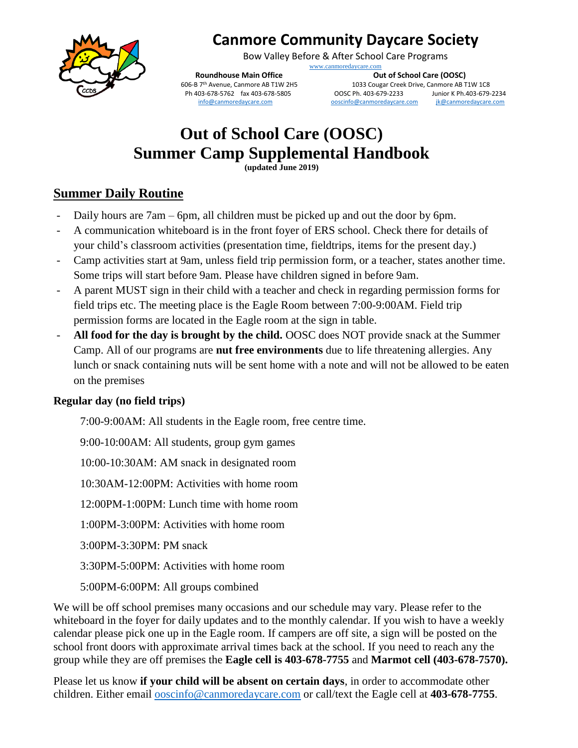

## **Canmore Community Daycare Society**

Bow Valley Before & After School Care Programs

[www.canmoredaycare.com](http://www.canmoredaycare.com/)

**Roundhouse Main Office Care Coupe Care (OOSC)**<br>606-B 7<sup>th</sup> Avenue, Canmore AB T1W 2H5 **Out of School Care Care Care Care Care Care AB T1033** Cougar Creek Drive, Canmore AB T Ph 403-678-5762 fax 403-678-5805 [info@canmoredaycare.com](mailto:info@canmoredaycare.com) [ooscinfo@canmoredaycare.com](mailto:ooscinfo@canmoredaycare.com) [jk@canmoredaycare.com](mailto:jk@canmoredaycare.com)

1033 Cougar Creek Drive, Canmore AB T1W 1C8<br>
006C Ph. 403-679-2233 Junior K Ph. 403-679-2234

## **Out of School Care (OOSC) Summer Camp Supplemental Handbook**

**(updated June 2019)**

#### **Summer Daily Routine**

- Daily hours are 7am 6pm, all children must be picked up and out the door by 6pm.
- A communication whiteboard is in the front foyer of ERS school. Check there for details of your child's classroom activities (presentation time, fieldtrips, items for the present day.)
- Camp activities start at 9am, unless field trip permission form, or a teacher, states another time. Some trips will start before 9am. Please have children signed in before 9am.
- A parent MUST sign in their child with a teacher and check in regarding permission forms for field trips etc. The meeting place is the Eagle Room between 7:00-9:00AM. Field trip permission forms are located in the Eagle room at the sign in table.
- **All food for the day is brought by the child.** OOSC does NOT provide snack at the Summer Camp. All of our programs are **nut free environments** due to life threatening allergies. Any lunch or snack containing nuts will be sent home with a note and will not be allowed to be eaten on the premises

#### **Regular day (no field trips)**

7:00-9:00AM: All students in the Eagle room, free centre time.

9:00-10:00AM: All students, group gym games

10:00-10:30AM: AM snack in designated room

10:30AM-12:00PM: Activities with home room

12:00PM-1:00PM: Lunch time with home room

1:00PM-3:00PM: Activities with home room

3:00PM-3:30PM: PM snack

3:30PM-5:00PM: Activities with home room

5:00PM-6:00PM: All groups combined

We will be off school premises many occasions and our schedule may vary. Please refer to the whiteboard in the foyer for daily updates and to the monthly calendar. If you wish to have a weekly calendar please pick one up in the Eagle room. If campers are off site, a sign will be posted on the school front doors with approximate arrival times back at the school. If you need to reach any the group while they are off premises the **Eagle cell is 403-678-7755** and **Marmot cell (403-678-7570).**

Please let us know **if your child will be absent on certain days**, in order to accommodate other children. Either email [ooscinfo@canmoredaycare.com](mailto:ooscinfo@canmoredaycare.com) or call/text the Eagle cell at **403-678-7755**.